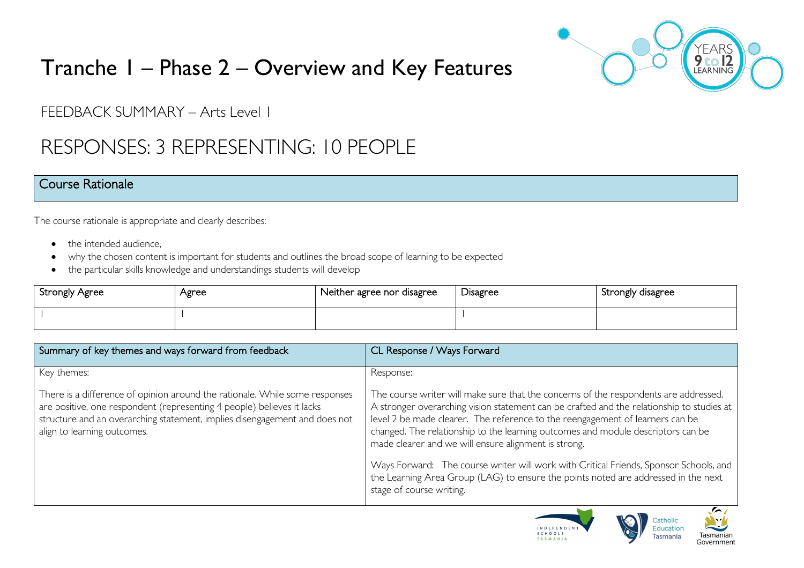

# Tranche 1 – Phase 2 – Overview and Key Features

FFEDBACK SUMMARY – Arts Level 1

# RESPONSES: 3 REPRESENTING: 10 PEOPLE

#### Course Rationale

The course rationale is appropriate and clearly describes:

- the intended audience.
- why the chosen content is important for students and outlines the broad scope of learning to be expected
- the particular skills knowledge and understandings students will develop

| <b>Strongly Agree</b> | Agree | Neither agree nor disagree | Disagree | Strongly disagree |
|-----------------------|-------|----------------------------|----------|-------------------|
|                       |       |                            |          |                   |

| Summary of key themes and ways forward from feedback                                                                                                                                                                                                               | CL Response / Ways Forward                                                                                                                                                                                                                                                                                                                                                                                                                                                                              |
|--------------------------------------------------------------------------------------------------------------------------------------------------------------------------------------------------------------------------------------------------------------------|---------------------------------------------------------------------------------------------------------------------------------------------------------------------------------------------------------------------------------------------------------------------------------------------------------------------------------------------------------------------------------------------------------------------------------------------------------------------------------------------------------|
| Key themes:                                                                                                                                                                                                                                                        | Response:                                                                                                                                                                                                                                                                                                                                                                                                                                                                                               |
| There is a difference of opinion around the rationale. While some responses<br>are positive, one respondent (representing 4 people) believes it lacks<br>structure and an overarching statement, implies disengagement and does not<br>align to learning outcomes. | The course writer will make sure that the concerns of the respondents are addressed.<br>A stronger overarching vision statement can be crafted and the relationship to studies at<br>level 2 be made clearer. The reference to the reengagement of learners can be<br>changed. The relationship to the learning outcomes and module descriptors can be<br>made clearer and we will ensure alignment is strong.<br>Ways Forward: The course writer will work with Critical Friends, Sponsor Schools, and |
|                                                                                                                                                                                                                                                                    | the Learning Area Group (LAG) to ensure the points noted are addressed in the next<br>stage of course writing.<br>$\sim$                                                                                                                                                                                                                                                                                                                                                                                |



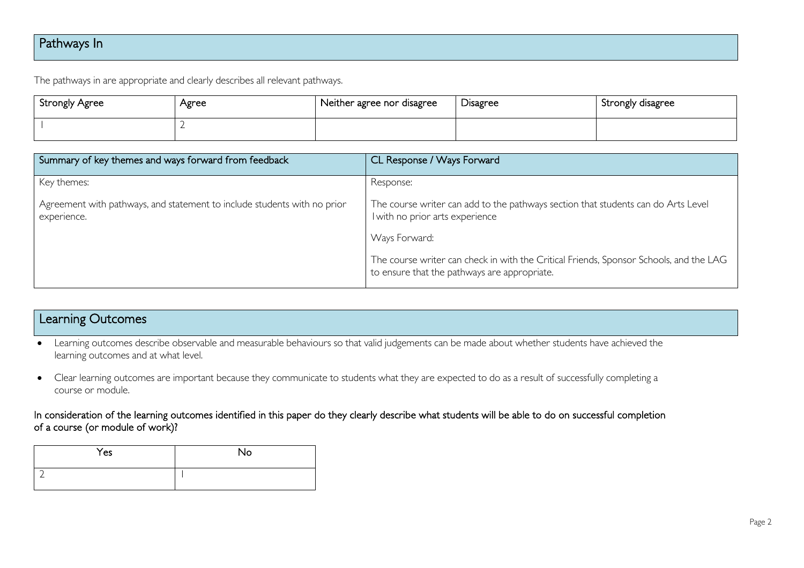# Pathways In

The pathways in are appropriate and clearly describes all relevant pathways.

| <b>Strongly Agree</b> | Agree | Neither agree nor disagree | <b>Disagree</b> | Strongly disagree |
|-----------------------|-------|----------------------------|-----------------|-------------------|
|                       |       |                            |                 |                   |

| Summary of key themes and ways forward from feedback                                    | CL Response / Ways Forward                                                                                                             |
|-----------------------------------------------------------------------------------------|----------------------------------------------------------------------------------------------------------------------------------------|
| Key themes:                                                                             | Response:                                                                                                                              |
| Agreement with pathways, and statement to include students with no prior<br>experience. | The course writer can add to the pathways section that students can do Arts Level<br>I with no prior arts experience                   |
|                                                                                         | Ways Forward:                                                                                                                          |
|                                                                                         | The course writer can check in with the Critical Friends, Sponsor Schools, and the LAG<br>to ensure that the pathways are appropriate. |

### Learning Outcomes

- Learning outcomes describe observable and measurable behaviours so that valid judgements can be made about whether students have achieved the learning outcomes and at what level.
- Clear learning outcomes are important because they communicate to students what they are expected to do as a result of successfully completing a course or module.

#### In consideration of the learning outcomes identified in this paper do they clearly describe what students will be able to do on successful completion of a course (or module of work)?

| Yes | <b>No</b> |
|-----|-----------|
|     |           |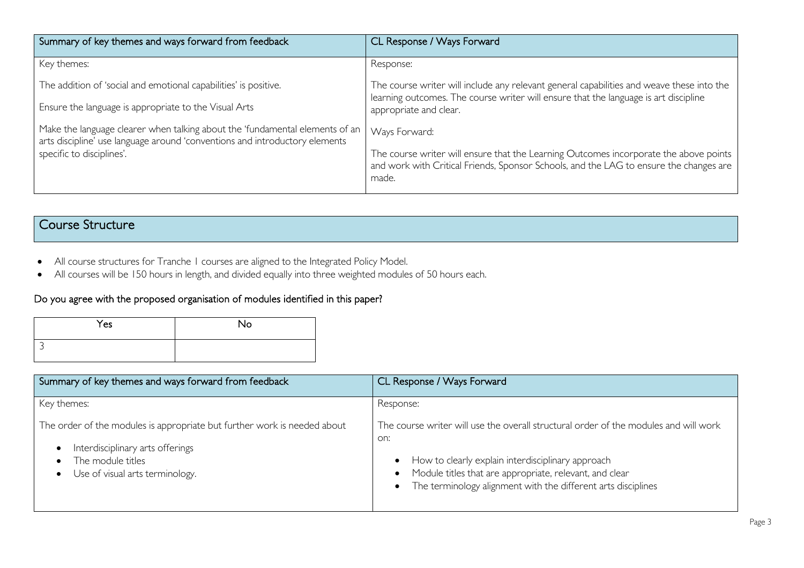| Summary of key themes and ways forward from feedback                                                                                                        | CL Response / Ways Forward                                                                                                                                                               |
|-------------------------------------------------------------------------------------------------------------------------------------------------------------|------------------------------------------------------------------------------------------------------------------------------------------------------------------------------------------|
| Key themes:                                                                                                                                                 | Response:                                                                                                                                                                                |
| The addition of 'social and emotional capabilities' is positive.                                                                                            | The course writer will include any relevant general capabilities and weave these into the<br>learning outcomes. The course writer will ensure that the language is art discipline        |
| Ensure the language is appropriate to the Visual Arts                                                                                                       | appropriate and clear.                                                                                                                                                                   |
| Make the language clearer when talking about the 'fundamental elements of an<br>arts discipline' use language around 'conventions and introductory elements | Ways Forward:                                                                                                                                                                            |
| specific to disciplines'.                                                                                                                                   | The course writer will ensure that the Learning Outcomes incorporate the above points<br>and work with Critical Friends, Sponsor Schools, and the LAG to ensure the changes are<br>made. |

# Course Structure

- All course structures for Tranche 1 courses are aligned to the Integrated Policy Model.
- All courses will be 150 hours in length, and divided equally into three weighted modules of 50 hours each.

#### Do you agree with the proposed organisation of modules identified in this paper?

| Yes | No |
|-----|----|
|     |    |

| Summary of key themes and ways forward from feedback                                                                                                                 | CL Response / Ways Forward                                                                                                                                                                                                                                                                               |
|----------------------------------------------------------------------------------------------------------------------------------------------------------------------|----------------------------------------------------------------------------------------------------------------------------------------------------------------------------------------------------------------------------------------------------------------------------------------------------------|
| Key themes:                                                                                                                                                          | Response:                                                                                                                                                                                                                                                                                                |
| The order of the modules is appropriate but further work is needed about<br>Interdisciplinary arts offerings<br>The module titles<br>Use of visual arts terminology. | The course writer will use the overall structural order of the modules and will work<br>on:<br>How to clearly explain interdisciplinary approach<br>$\bullet$<br>• Module titles that are appropriate, relevant, and clear<br>The terminology alignment with the different arts disciplines<br>$\bullet$ |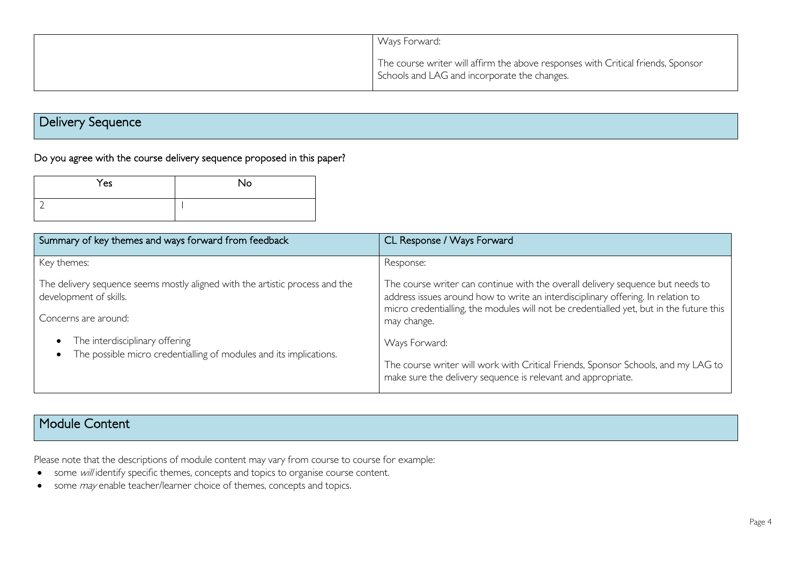| Ways Forward:                                                                                                                    |
|----------------------------------------------------------------------------------------------------------------------------------|
| The course writer will affirm the above responses with Critical friends, Sponsor<br>Schools and LAG and incorporate the changes. |

# Delivery Sequence

## Do you agree with the course delivery sequence proposed in this paper?

| Yes | <b>No</b> |
|-----|-----------|
|     |           |

| Summary of key themes and ways forward from feedback                                                   | CL Response / Ways Forward                                                                                                                                                                                                                                    |
|--------------------------------------------------------------------------------------------------------|---------------------------------------------------------------------------------------------------------------------------------------------------------------------------------------------------------------------------------------------------------------|
| Key themes:                                                                                            | Response:                                                                                                                                                                                                                                                     |
| The delivery sequence seems mostly aligned with the artistic process and the<br>development of skills. | The course writer can continue with the overall delivery sequence but needs to<br>address issues around how to write an interdisciplinary offering. In relation to<br>micro credentialling, the modules will not be credentialled yet, but in the future this |
| Concerns are around:                                                                                   | may change.                                                                                                                                                                                                                                                   |
| The interdisciplinary offering<br>The possible micro credentialling of modules and its implications.   | Ways Forward:                                                                                                                                                                                                                                                 |
|                                                                                                        | The course writer will work with Critical Friends, Sponsor Schools, and my LAG to<br>make sure the delivery sequence is relevant and appropriate.                                                                                                             |

### Module Content

Please note that the descriptions of module content may vary from course to course for example:

- some will identify specific themes, concepts and topics to organise course content.
- some *may* enable teacher/learner choice of themes, concepts and topics.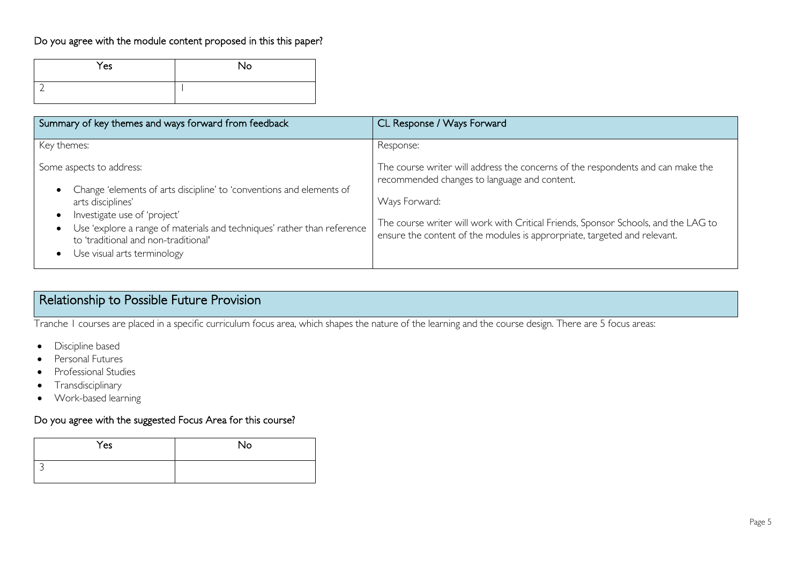#### Do you agree with the module content proposed in this this paper?

| Yes | No |
|-----|----|
|     |    |

| Summary of key themes and ways forward from feedback                                                                                                                                                                                                                                                                                                        | CL Response / Ways Forward                                                                                                                                                                                                                                                                                          |
|-------------------------------------------------------------------------------------------------------------------------------------------------------------------------------------------------------------------------------------------------------------------------------------------------------------------------------------------------------------|---------------------------------------------------------------------------------------------------------------------------------------------------------------------------------------------------------------------------------------------------------------------------------------------------------------------|
| Key themes:                                                                                                                                                                                                                                                                                                                                                 | Response:                                                                                                                                                                                                                                                                                                           |
| Some aspects to address:<br>Change 'elements of arts discipline' to 'conventions and elements of<br>$\bullet$<br>arts disciplines'<br>Investigate use of 'project'<br>$\bullet$<br>Use 'explore a range of materials and techniques' rather than reference<br>$\bullet$<br>to 'traditional and non-traditional'<br>Use visual arts terminology<br>$\bullet$ | The course writer will address the concerns of the respondents and can make the<br>recommended changes to language and content.<br>Ways Forward:<br>The course writer will work with Critical Friends, Sponsor Schools, and the LAG to<br>ensure the content of the modules is approrpriate, targeted and relevant. |

# Relationship to Possible Future Provision

Tranche 1 courses are placed in a specific curriculum focus area, which shapes the nature of the learning and the course design. There are 5 focus areas:

- Discipline based
- Personal Futures
- Professional Studies
- Transdisciplinary
- Work-based learning

#### Do you agree with the suggested Focus Area for this course?

| Yes | No |
|-----|----|
|     |    |